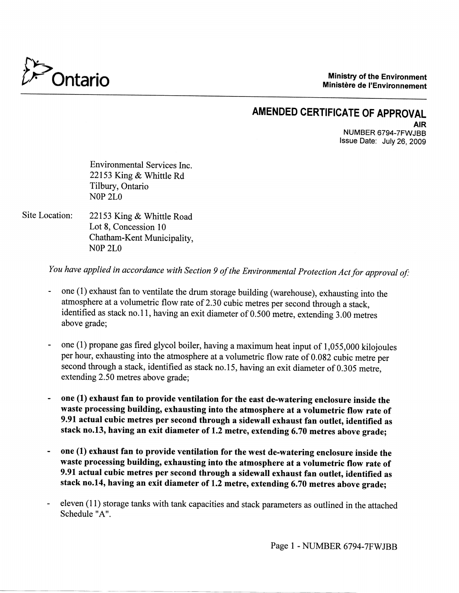

**Ministry of the Environment Ministere de I'Environnement**

#### **AMENDED CERTIFICATE OF APPROVAL** AIR NUMBER 6794-7FWJBB

Issue Date: July 26, 2009

Environmental Services Inc. 22153 King & Whittle Rd Tilbury, Ontario NOP 2LO

Site Location: 22153 King & Whittle Road Lot 8, Concession 10 Chatham-Kent Municipality, NOP 2LO

*You have applied in accordance with Section 9 of the Environmental Protection Act for approval of:*

- *-* one (1) exhaust fan to ventilate the drum storage building (warehouse), exhausting into the atmosphere at a volumetric flow rate of 2.30 cubic metres per second through a stack, identified as stack no.l 1, having an exit diameter of 0.500 metre, extending 3.00 metres above grade;
- one (1) propane gas fired glycol boiler, having a maximum heat input of 1,055,000 kilojoules per hour, exhausting into the atmosphere at a volumetric flow rate of 0.082 cubic metre per second through a stack, identified as stack no. 15, having an exit diameter of 0.305 metre, extending 2.50 metres above grade;
- **one (1) exhaust fan to provide ventilation for the east de-watering enclosure inside the waste processing building, exhausting into the atmosphere at a volumetric flow rate of 9.91 actual cubic metres per second through a sidewall exhaust fan outlet, identified as stack no.13, having an exit diameter of 1.2 metre, extending 6.70 metres above grade;**
- **one (1) exhaust fan to provide ventilation for the west de-watering enclosure inside the waste processing building, exhausting into the atmosphere at a volumetric flow rate of 9.91 actual cubic metres per second through a sidewall exhaust fan outlet, identified as stack no.14, having an exit diameter of 1.2 metre, extending 6.70 metres above grade;**
- eleven (11) storage tanks with tank capacities and stack parameters as outlined in the attached Schedule "A".

Page 1 - NUMBER 6794-7FWJBB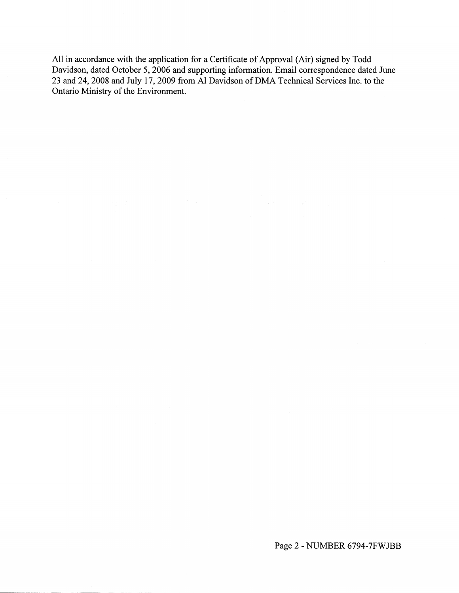All in accordance with the application for a Certificate of Approval (Air) signed by Todd Davidson, dated October 5, 2006 and supporting information. Email correspondence dated June 23 and 24, 2008 and July 17, 2009 from Al Davidson of DMA Technical Services Inc. to the Ontario Ministry of the Environment.

 $\label{eq:2.1} \mathcal{E}(\mathbf{x},\mathbf{y}) = \mathcal{E}(\mathbf{x},\mathbf{y}) = \mathcal{E}(\mathbf{x},\mathbf{y})$ 

Page 2 - NUMBER 6794-7FWJBB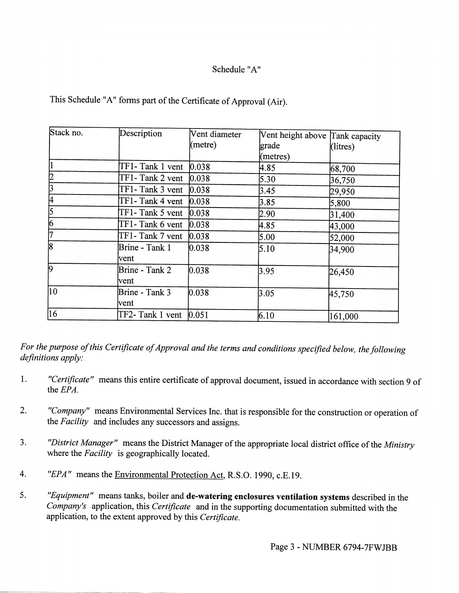### Schedule "A"

| Stack no.      | Description                         | Vent diameter | Vent height above Tank capacity |          |
|----------------|-------------------------------------|---------------|---------------------------------|----------|
|                |                                     | (metre)       | grade                           | (litres) |
|                |                                     |               | (metres)                        |          |
|                | $TF1$ - Tank 1 vent $ 0.038$        |               | 4.85                            | 68,700   |
| 2              | $TF1$ - Tank 2 vent $ 0.038$        |               | 5.30                            | 36,750   |
| 3              | $TF1$ - Tank 3 vent $ 0.038\rangle$ |               | 3.45                            | 29,950   |
| 4              | TF1-Tank 4 vent                     | 0.038         | 3.85                            | 5,800    |
| $\overline{5}$ | TF1-Tank 5 vent                     | 0.038         | 2.90                            | 31,400   |
| 6              | TF1-Tank 6 vent                     | 0.038         | 4.85                            | 43,000   |
| $\overline{7}$ | TF1-Tank 7 vent                     | 0.038         | 5.00                            | 52,000   |
| $\overline{8}$ | Brine - Tank 1<br>vent              | 0.038         | 5.10                            | 34,900   |
| 9              | Brine - Tank 2<br>vent              | 0.038         | 3.95                            | 26,450   |
| 10             | Brine - Tank 3<br>vent              | 0.038         | 3.05                            | 45,750   |
| 16             | TF2- Tank 1 vent                    | 0.051         | 6.10                            | 161,000  |

This Schedule "A" forms part of the Certificate of Approval (Air).

*For the purpose of this Certificate of Approval and the terms and conditions specified below, the following definitions apply:*

- 1. *"Certificate"* means this entire certificate of approval document, issued in accordance with section 9 of the *EPA.*
- 2. *"Company"* means Environmental Services Inc. that is responsible for the construction or operation of the *Facility* and includes any successors and assigns.
- 3. *"District Manager"* means the District Manager of the appropriate local district office of the *Ministry* where the *Facility* is geographically located.
- 4. *"EPA"* means the Environmental Protection Act, R.S.O. 1990, c.E.19.
- 5. *"Equipment"* means tanks, boiler and **de-watering enclosures ventilation systems** described in the *Company's* application, this *Certificate* and in the supporting documentation submitted with the application, to the extent approved by this *Certificate.*

Page 3 - NUMBER 6794-7FWJBB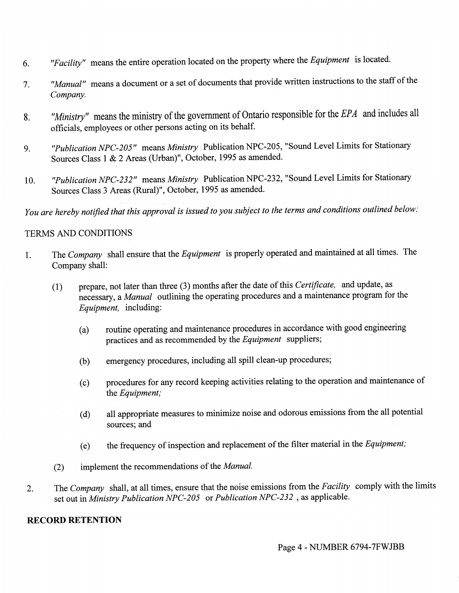- 6. *"Facility"* means the entire operation located on the property where the *Equipment* is located.
- 7. *"Manual"* means a document or a set of documents that provide written instructions to the staff of the *Company.*
- 8. *"Ministry1* means the ministry of the government of Ontario responsible for the *EPA* and includes all officials, employees or other persons acting on its behalf.
- 9. *"Publication NPC-205"* means *Ministry* Publication NPC-205, "Sound Level Limits for Stationary Sources Class 1 & 2 Areas (Urban)", October, 1995 as amended.
- 10. *"Publication NPC-232"* means *Ministry* Publication NPC-232, "Sound Level Limits for Stationary Sources Class 3 Areas (Rural)", October, 1995 as amended.

*You are hereby notified that this approval is issued to you subject to the terms and conditions outlined below:*

#### TERMS AND CONDITIONS

- 1. The *Company* shall ensure that the *Equipment* is properly operated and maintained at all times. The Company shall:
	- (1) prepare, not later than three (3) months after the date of this *Certificate,* and update, as necessary, a *Manual* outlining the operating procedures and a maintenance program for the *Equipment,* including:
		- (a) routine operating and maintenance procedures in accordance with good engineering practices and as recommended by the *Equipment* suppliers;
		- (b) emergency procedures, including all spill clean-up procedures;
		- (c) procedures for any record keeping activities relating to the operation and maintenance of the *Equipment;*
		- (d) all appropriate measures to minimize noise and odorous emissions from the all potential sources; and
		- (e) the frequency of inspection and replacement of the filter material in the *Equipment;*
	- (2) implement the recommendations of the *Manual*
- 2. The *Company* shall, at all times, ensure that the noise emissions from the *Facility* comply with the limits set out in *Ministry Publication NPC-205* or *Publication NPC-232* , as applicable.

## **RECORD RETENTION**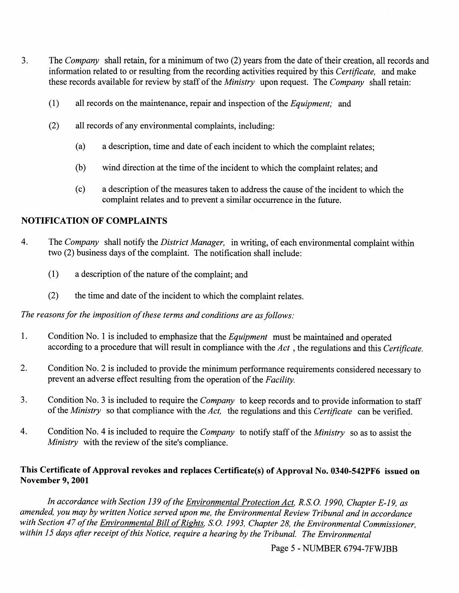- 3. The *Company* shall retain, for a minimum of two (2) years from the date of their creation, all records and information related to or resulting from the recording activities required by this *Certificate,* and make these records available for review by staff of the *Ministry* upon request. *The Company* shall retain:
	- (1) all records on the maintenance, repair and inspection of the *Equipment;* and
	- (2) all records of any environmental complaints, including:
		- (a) a description, time and date of each incident to which the complaint relates;
		- (b) wind direction at the time of the incident to which the complaint relates; and
		- (c) a description of the measures taken to address the cause of the incident to which the complaint relates and to prevent a similar occurrence in the future.

#### **NOTIFICATION OF COMPLAINTS**

- 4. The *Company* shall notify the *District Manager,* in writing, of each environmental complaint within two (2) business days of the complaint. The notification shall include:
	- (1) a description of the nature of the complaint; and
	- (2) the time and date of the incident to which the complaint relates.

*The reasons for the imposition of these terms and conditions are as follows:*

- 1. Condition No. 1 is included to emphasize that the *Equipment* must be maintained and operated according to a procedure that will result in compliance with the *Act*, the regulations and this *Certificate.*
- 2. Condition No. 2 is included to provide the minimum performance requirements considered necessary to prevent an adverse effect resulting from the operation of the *Facility.*
- 3. Condition No. 3 is included to require the *Company* to keep records and to provide information to staff of the *Ministry* so that compliance with the *Act,* the regulations and this *Certificate* can be verified.
- 4. Condition No. 4 is included to require the *Company* to notify staff of the *Ministry* so as to assist the *Ministry* with the review of the site's compliance.

#### **This Certificate of Approval revokes and replaces Certificate(s) of Approval No. 0340-542PF6 issued on November 9,2001**

*In accordance with Section 139 of the Environmental Protection Act, R.S.O. 1990, Chapter E-19, as amended, you may by written Notice served upon me, the Environmental Review Tribunal and in accordance with Section 47 of the Environmental Bill of Rights, S.O. 1993, Chapter 28, the Environmental Commissioner,* within 15 days after receipt of this Notice, require a hearing by the Tribunal. The Environmental

Page 5 - NUMBER 6794-7FWJBB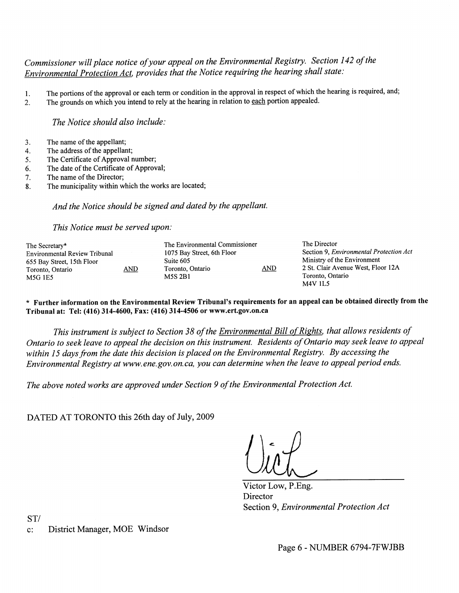## *Commissioner mil place notice of your appeal on the Environmental Registry. Section 142 of the Environmental Protection Act, provides that the Notice requiring the hearing shall state:*

- l. The portions of the approval or each term or condition in the approval in respect of which the hearing is required, and;
- 2. The grounds on which you intend to rely at the hearing in relation to each portion appealed.

*The Notice should also include:*

- 3. The name of the appellant;
- 4. The address of the appellant;
- 5. The Certificate of Approval number;
- 6. The date of the Certificate of Approval;
- 7. The name of the Director;
- 8. The municipality within which the works are located;

*And the Notice should be signed and dated by the appellant.*

*This Notice must be served upon:*

| The Environmental Commissioner<br><u>AND</u> | The Director<br>Section 9, <i>Environmental Protection Act</i><br>Ministry of the Environment<br>2 St. Clair Avenue West, Floor 12A<br>Toronto, Ontario<br><b>M4V 1L5</b> |
|----------------------------------------------|---------------------------------------------------------------------------------------------------------------------------------------------------------------------------|
|                                              |                                                                                                                                                                           |

**\* Further information on the Environmental Review Tribunal's requirements for an appeal can be obtained directly from the Tribunal at: Tel: (416) 314-4600, Fax: (416) 314-4506 or www.ert.gov.on.ca**

*This instrument is subject to Section 38 of the Environmental Bill of Rights, that allows residents of Ontario to seek leave to appeal the decision on this instrument. Residents of Ontario may seek leave to appeal within 15 days from the date this decision is placed on the Environmental Registry. By accessing the Environmental Registry at www.ene.gov.on.ca, you can determine when the leave to appeal period ends.*

*The above noted works are approved under Section 9 of the Environmental Protection Act.*

DATED AT TORONTO this 26th day of July, 2009

Victor Low, P.Eng. **Director** Section 9, *Environmental Protection Act*

ST/ c: District Manager, MOE Windsor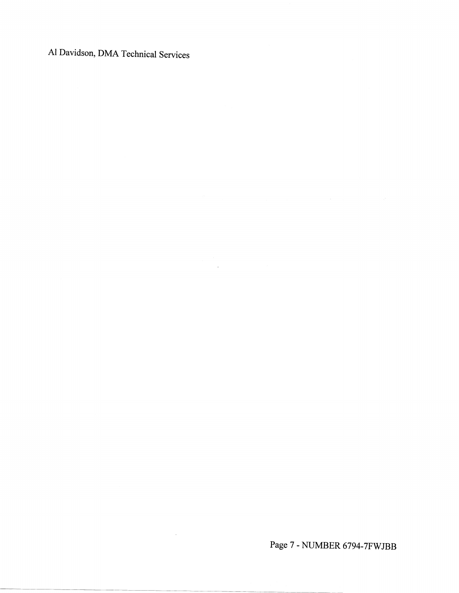Al Davidson, DMA Technical Services

Page 7 - NUMBER 6794-7FWJBB

 $\mathcal{L}^{\text{max}}_{\text{max}}$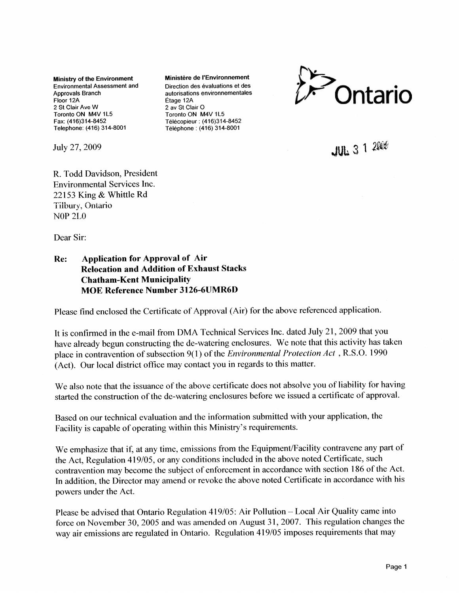**Ministry of the Environment Ministère de l'Environnement** Environmental Assessment and Direction des evaluations et des Floor 12A Etage 12A 2 St Clair Ave W 2 av St Clair O Toronto ON M4V 1L5 Toronto ON M4V 1L5 Fax: (416)314-8452 Télécopieur: (416)314-8452 Telephone: (416) 314-8001 Telephone : (416) 314-8001

July 27, 2009

Approvals Branch autorisations environnementales



 $JUL$  3 1  $2000$ 

R. Todd Davidson, President Environmental Services Inc. 22153 King & Whittle Rd Tilbury, Ontario NOP 2LO

Dear Sir:

#### **Re: Application for Approval of Air Relocation and Addition of Exhaust Stacks Chatham-Kent Municipality MOE Reference Number 3126-6UMR6D**

Please find enclosed the Certificate of Approval (Air) for the above referenced application.

It is confirmed in the e-mail from DMA Technical Services Inc. dated July 21, 2009 that you have already begun constructing the de-watering enclosures. We note that this activity has taken place in contravention of subsection 9(1) of the *Environmental Protection Act* , R.S.O. 1990 (Act). Our local district office may contact you in regards to this matter.

We also note that the issuance of the above certificate does not absolve you of liability for having started the construction of the de-watering enclosures before we issued a certificate of approval.

Based on our technical evaluation and the information submitted with your application, the Facility is capable of operating within this Ministry's requirements.

We emphasize that if, at any time, emissions from the Equipment/Facility contravene any part of the Act, Regulation 419/05, or any conditions included in the above noted Certificate, such contravention may become the subject of enforcement in accordance with section 186 of the Act. In addition, the Director may amend or revoke the above noted Certificate in accordance with his powers under the Act.

Please be advised that Ontario Regulation 419/05: Air Pollution - Local Air Quality came into force on November 30, 2005 and was amended on August 31, 2007. This regulation changes the way air emissions are regulated in Ontario. Regulation 419/05 imposes requirements that may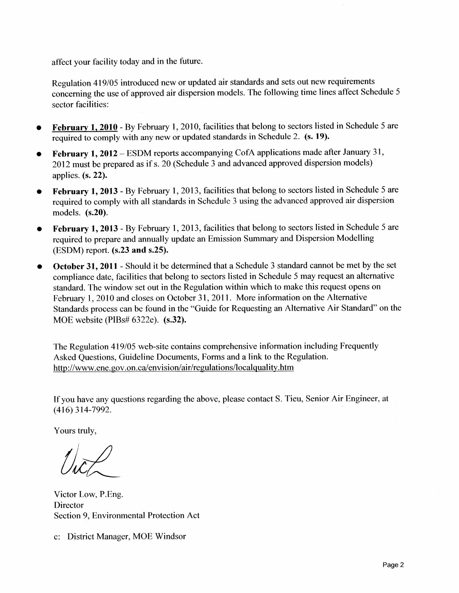affect your facility today and in the future.

Regulation 419/05 introduced new or updated air standards and sets out new requirements concerning the use of approved air dispersion models. The following time lines affect Schedule 5 sector facilities:

- **February 1, 2010** By February 1, 2010, facilities that belong to sectors listed in Schedule 5 are required to comply with any new or updated standards in Schedule 2. (s. **19).**
- **February 1, 2012** ESDM reports accompanying CofA applications made after January 31, 2012 must be prepared as if s. 20 (Schedule 3 and advanced approved dispersion models) applies.  $(s, 22)$ .
- **February 1, 2013** By February 1, 2013, facilities that belong to sectors listed in Schedule 5 are required to comply with all standards in Schedule 3 using the advanced approved air dispersion models, **(s.20).**
- **February 1,2013** By February 1, 2013, facilities that belong to sectors listed in Schedule 5 are required to prepare and annually update an Emission Summary and Dispersion Modelling (ESDM) report, (s.23 and s.25).
- **October 31,2011 -** Should it be determined that a Schedule 3 standard cannot be met by the set compliance date, facilities that belong to sectors listed in Schedule 5 may request an alternative standard. The window set out in the Regulation within which to make this request opens on February 1, 2010 and closes on October 31, 2011. More information on the Alternative Standards process can be found in the "Guide for Requesting an Alternative Air Standard" on the MOE website (PIBs# 6322e). (s.32).

The Regulation 419/05 web-site contains comprehensive information including Frequently Asked Questions, Guideline Documents, Forms and a link to the Regulation. http://www.ene.gov.on.ca/envision/air/regulations/localquality.htm

If you have any questions regarding the above, please contact S. Tieu, Senior Air Engineer, at (416)314-7992.

Yours truly,

Victor Low, P.Eng. Director Section 9, Environmental Protection Act

c: District Manager, MOE Windsor